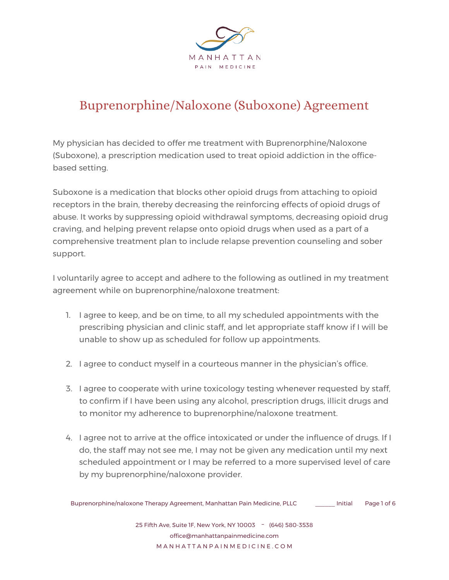

## Buprenorphine/Naloxone (Suboxone) Agreement

My physician has decided to offer me treatment with Buprenorphine/Naloxone (Suboxone), a prescription medication used to treat opioid addiction in the officebased setting.

Suboxone is a medication that blocks other opioid drugs from attaching to opioid receptors in the brain, thereby decreasing the reinforcing effects of opioid drugs of abuse. It works by suppressing opioid withdrawal symptoms, decreasing opioid drug craving, and helping prevent relapse onto opioid drugs when used as a part of a comprehensive treatment plan to include relapse prevention counseling and sober support.

I voluntarily agree to accept and adhere to the following as outlined in my treatment agreement while on buprenorphine/naloxone treatment:

- 1. I agree to keep, and be on time, to all my scheduled appointments with the prescribing physician and clinic staff, and let appropriate staff know if I will be unable to show up as scheduled for follow up appointments.
- 2. I agree to conduct myself in a courteous manner in the physician's office.
- 3. I agree to cooperate with urine toxicology testing whenever requested by staff, to confirm if I have been using any alcohol, prescription drugs, illicit drugs and to monitor my adherence to buprenorphine/naloxone treatment.
- 4. I agree not to arrive at the office intoxicated or under the influence of drugs. If I do, the staff may not see me, I may not be given any medication until my next scheduled appointment or I may be referred to a more supervised level of care by my buprenorphine/naloxone provider.

Buprenorphine/naloxone Therapy Agreement, Manhattan Pain Medicine, PLLC \_\_\_\_\_\_ Initial Page 1 of 6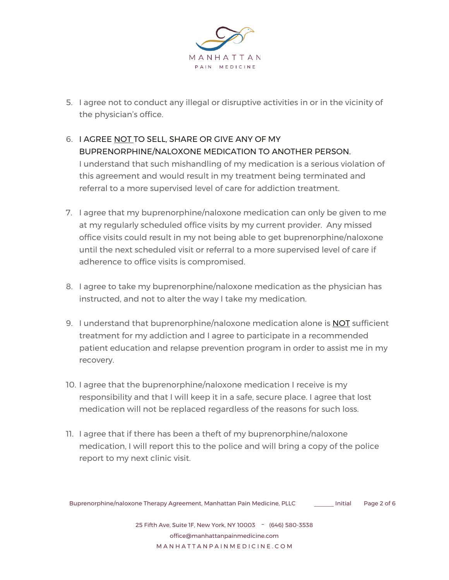

- 5. I agree not to conduct any illegal or disruptive activities in or in the vicinity of the physician's office.
- 6. I AGREE NOT TO SELL, SHARE OR GIVE ANY OF MY BUPRENORPHINE/NALOXONE MEDICATION TO ANOTHER PERSON. I understand that such mishandling of my medication is a serious violation of this agreement and would result in my treatment being terminated and referral to a more supervised level of care for addiction treatment.
- 7. I agree that my buprenorphine/naloxone medication can only be given to me at my regularly scheduled office visits by my current provider. Any missed office visits could result in my not being able to get buprenorphine/naloxone until the next scheduled visit or referral to a more supervised level of care if adherence to office visits is compromised.
- 8. I agree to take my buprenorphine/naloxone medication as the physician has instructed, and not to alter the way I take my medication.
- 9. I understand that buprenorphine/naloxone medication alone is NOT sufficient treatment for my addiction and I agree to participate in a recommended patient education and relapse prevention program in order to assist me in my recovery.
- 10. I agree that the buprenorphine/naloxone medication I receive is my responsibility and that I will keep it in a safe, secure place. I agree that lost medication will not be replaced regardless of the reasons for such loss.
- 11. I agree that if there has been a theft of my buprenorphine/naloxone medication, I will report this to the police and will bring a copy of the police report to my next clinic visit.

Buprenorphine/naloxone Therapy Agreement, Manhattan Pain Medicine, PLLC \_\_\_\_\_\_ Initial Page 2 of 6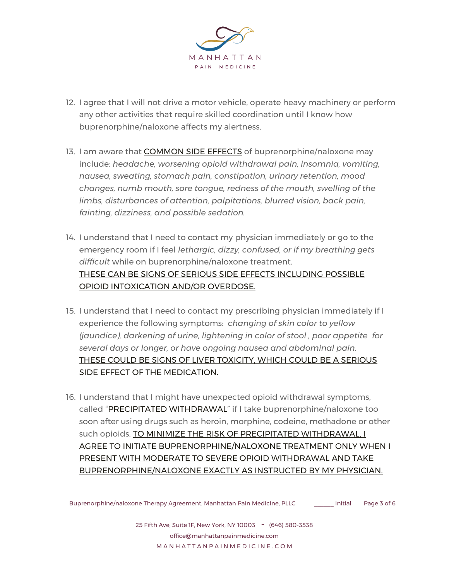

- 12. I agree that I will not drive a motor vehicle, operate heavy machinery or perform any other activities that require skilled coordination until I know how buprenorphine/naloxone affects my alertness.
- 13. I am aware that COMMON SIDE EFFECTS of buprenorphine/naloxone may include: *headache, worsening opioid withdrawal pain, insomnia, vomiting, nausea, sweating, stomach pain, constipation, urinary retention, mood changes, numb mouth, sore tongue, redness of the mouth, swelling of the limbs, disturbances of attention, palpitations, blurred vision, back pain, fainting, dizziness, and possible sedation.*
- 14. I understand that I need to contact my physician immediately or go to the emergency room if I feel *lethargic, dizzy, confused, or if my breathing gets difficult* while on buprenorphine/naloxone treatment. THESE CAN BE SIGNS OF SERIOUS SIDE EFFECTS INCLUDING POSSIBLE OPIOID INTOXICATION AND/OR OVERDOSE.
- 15. I understand that I need to contact my prescribing physician immediately if I experience the following symptoms: *changing of skin color to yellow (jaundice), darkening of urine, lightening in color of stool , poor appetite for several days or longer, or have ongoing nausea and abdominal pain*. THESE COULD BE SIGNS OF LIVER TOXICITY, WHICH COULD BE A SERIOUS SIDE EFFECT OF THE MEDICATION.
- 16. I understand that I might have unexpected opioid withdrawal symptoms, called "PRECIPITATED WITHDRAWAL" if I take buprenorphine/naloxone too soon after using drugs such as heroin, morphine, codeine, methadone or other such opioids. TO MINIMIZE THE RISK OF PRECIPITATED WITHDRAWAL, I AGREE TO INITIATE BUPRENORPHINE/NALOXONE TREATMENT ONLY WHEN I PRESENT WITH MODERATE TO SEVERE OPIOID WITHDRAWAL AND TAKE BUPRENORPHINE/NALOXONE EXACTLY AS INSTRUCTED BY MY PHYSICIAN.

Buprenorphine/naloxone Therapy Agreement, Manhattan Pain Medicine, PLLC \_\_\_\_\_\_ Initial Page 3 of 6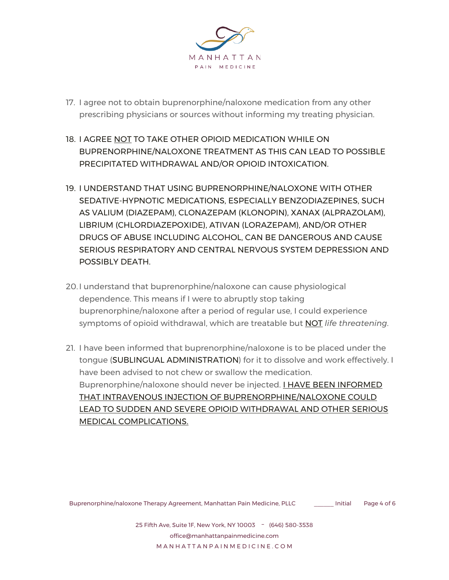

- 17. I agree not to obtain buprenorphine/naloxone medication from any other prescribing physicians or sources without informing my treating physician.
- 18. I AGREE NOT TO TAKE OTHER OPIOID MEDICATION WHILE ON BUPRENORPHINE/NALOXONE TREATMENT AS THIS CAN LEAD TO POSSIBLE PRECIPITATED WITHDRAWAL AND/OR OPIOID INTOXICATION.
- 19. I UNDERSTAND THAT USING BUPRENORPHINE/NALOXONE WITH OTHER SEDATIVE-HYPNOTIC MEDICATIONS, ESPECIALLY BENZODIAZEPINES, SUCH AS VALIUM (DIAZEPAM), CLONAZEPAM (KLONOPIN), XANAX (ALPRAZOLAM), LIBRIUM (CHLORDIAZEPOXIDE), ATIVAN (LORAZEPAM), AND/OR OTHER DRUGS OF ABUSE INCLUDING ALCOHOL, CAN BE DANGEROUS AND CAUSE SERIOUS RESPIRATORY AND CENTRAL NERVOUS SYSTEM DEPRESSION AND POSSIBLY DEATH.
- 20.I understand that buprenorphine/naloxone can cause physiological dependence. This means if I were to abruptly stop taking buprenorphine/naloxone after a period of regular use, I could experience symptoms of opioid withdrawal, which are treatable but NOT *life threatening*.
- 21. I have been informed that buprenorphine/naloxone is to be placed under the tongue (SUBLINGUAL ADMINISTRATION) for it to dissolve and work effectively. I have been advised to not chew or swallow the medication. Buprenorphine/naloxone should never be injected. **I HAVE BEEN INFORMED** THAT INTRAVENOUS INJECTION OF BUPRENORPHINE/NALOXONE COULD LEAD TO SUDDEN AND SEVERE OPIOID WITHDRAWAL AND OTHER SERIOUS MEDICAL COMPLICATIONS.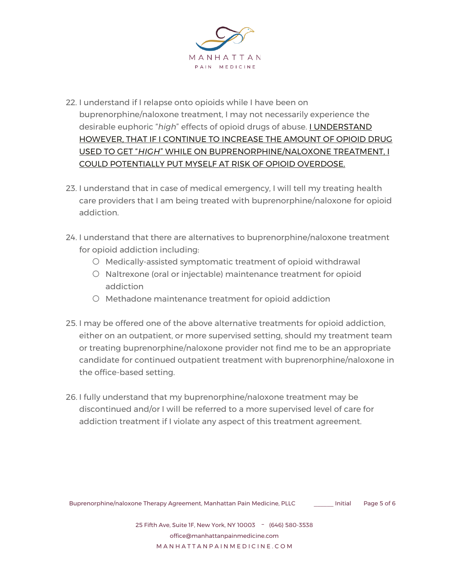

- 22. I understand if I relapse onto opioids while I have been on buprenorphine/naloxone treatment, I may not necessarily experience the desirable euphoric "*high*" effects of opioid drugs of abuse. I UNDERSTAND HOWEVER, THAT IF I CONTINUE TO INCREASE THE AMOUNT OF OPIOID DRUG USED TO GET "*HIGH*" WHILE ON BUPRENORPHINE/NALOXONE TREATMENT, I COULD POTENTIALLY PUT MYSELF AT RISK OF OPIOID OVERDOSE.
- 23. I understand that in case of medical emergency, I will tell my treating health care providers that I am being treated with buprenorphine/naloxone for opioid addiction.
- 24. I understand that there are alternatives to buprenorphine/naloxone treatment for opioid addiction including:
	- Medically-assisted symptomatic treatment of opioid withdrawal
	- Naltrexone (oral or injectable) maintenance treatment for opioid addiction
	- Methadone maintenance treatment for opioid addiction
- 25. I may be offered one of the above alternative treatments for opioid addiction, either on an outpatient, or more supervised setting, should my treatment team or treating buprenorphine/naloxone provider not find me to be an appropriate candidate for continued outpatient treatment with buprenorphine/naloxone in the office-based setting.
- 26. I fully understand that my buprenorphine/naloxone treatment may be discontinued and/or I will be referred to a more supervised level of care for addiction treatment if I violate any aspect of this treatment agreement.

Buprenorphine/naloxone Therapy Agreement, Manhattan Pain Medicine, PLLC \_\_\_\_\_\_ Initial Page 5 of 6